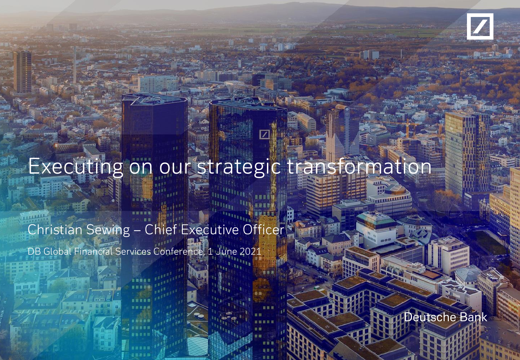

# Executing on our strategic transformation

# Christian Sewing - Chief Executive Officer

DB Global Financial Services Conference, 1 June 2021

Deutsche Bank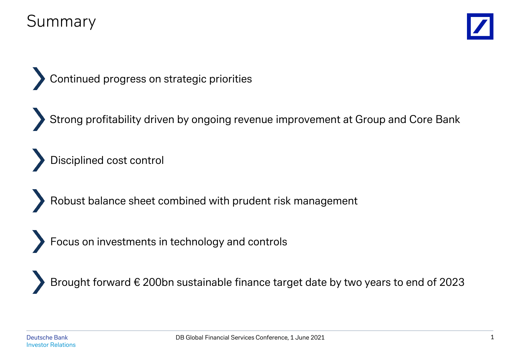## Summary



Continued progress on strategic priorities

Strong profitability driven by ongoing revenue improvement at Group and Core Bank

Disciplined cost control

Robust balance sheet combined with prudent risk management

Focus on investments in technology and controls

Brought forward € 200bn sustainable finance target date by two years to end of 2023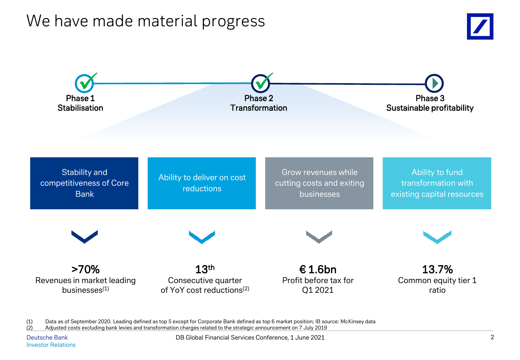#### We have made material progress





(1) Data as of September 2020. Leading defined as top 5 except for Corporate Bank defined as top 6 market position; IB source: McKinsey data<br>(2) Adjusted costs excluding bank levies and transformation charges related to th (2) Adjusted costs excluding bank levies and transformation charges related to the strategic announcement on 7 July 2019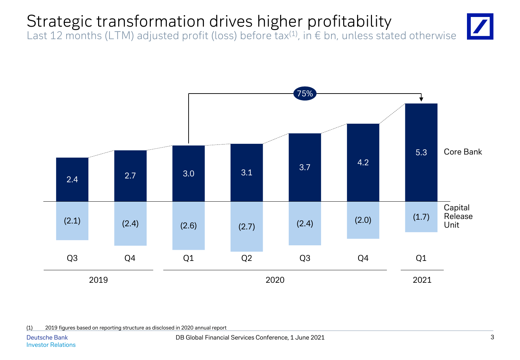# Strategic transformation drives higher profitability

Last 12 months (LTM) adjusted profit (loss) before tax<sup>(1)</sup>, in  $\epsilon$  bn, unless stated otherwise





(1) 2019 figures based on reporting structure as disclosed in 2020 annual report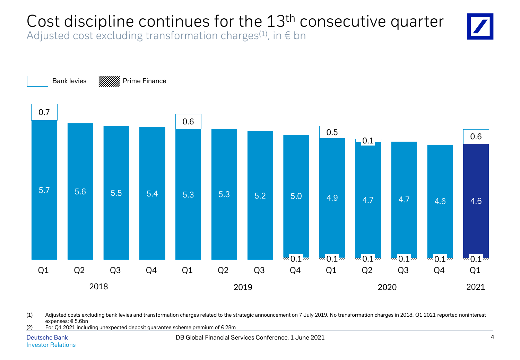# Cost discipline continues for the 13<sup>th</sup> consecutive quarter

Adjusted cost excluding transformation charges<sup>(1)</sup>, in  $\epsilon$  bn



(1) Adjusted costs excluding bank levies and transformation charges related to the strategic announcement on 7 July 2019. No transformation charges in 2018. Q1 2021 reported noninterest expenses: € 5.6bn

(2) For Q1 2021 including unexpected deposit guarantee scheme premium of  $\epsilon$  28m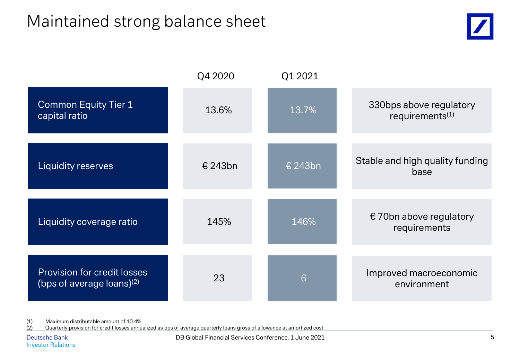#### Maintained strong balance sheet



|                                                                    | Q4 2020 | Q1 2021 |                                                        |
|--------------------------------------------------------------------|---------|---------|--------------------------------------------------------|
| <b>Common Equity Tier 1</b><br>capital ratio                       | 13.6%   | 13.7%   | 330bps above regulatory<br>requirements <sup>(1)</sup> |
| Liquidity reserves                                                 | € 243bn | € 243bn | Stable and high quality funding<br>base                |
| Liquidity coverage ratio                                           | 145%    | 146%    | € 70bn above regulatory<br>requirements                |
| <b>Provision for credit losses</b><br>(bps of average loans) $(2)$ | 23      | 6       | Improved macroeconomic<br>environment                  |

(1) Maximum distributable amount of 10.4%<br>(2) Quarterly provision for credit losses annual

Quarterly provision for credit losses annualized as bps of average quarterly loans gross of allowance at amortized cost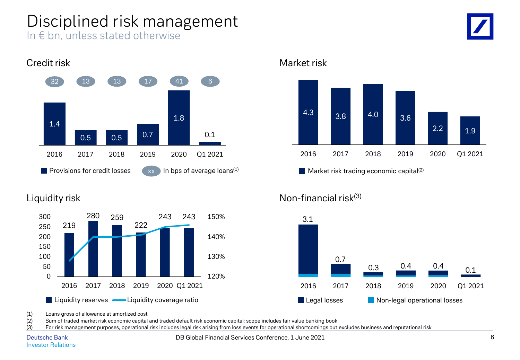## Disciplined risk management

In € bn, unless stated otherwise



#### 1.4 0.5 0.7 1.8 0.1 2016 2017 2018 2019 2020 Q1 2021 32 13 13 17 41 **Provisions for credit losses** In bps of average loans $(1)$ 6



Credit risk Market risk Market risk Market risk Market risk



**Market risk trading economic capital**<sup>(2)</sup>

#### Liquidity risk **Non-financial** risk<sup>(3)</sup>



(1) Loans gross of allowance at amortized cost

(2) Sum of traded market risk economic capital and traded default risk economic capital; scope includes fair value banking book

(3) For risk management purposes, operational risk includes legal risk arising from loss events for operational shortcomings but excludes business and reputational risk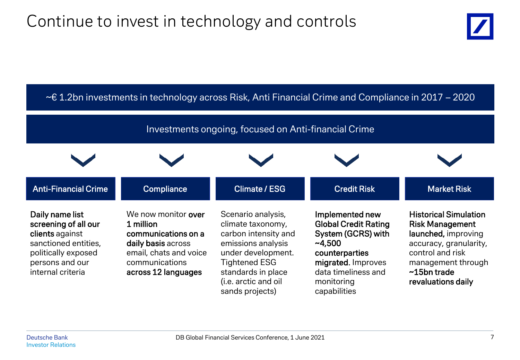

| $\sim$ £1.2bn investments in technology across Risk, Anti Financial Crime and Compliance in 2017 – 2020                                           |                                                                                                                                                  |                                                                                                                                                                                                      |                                                                                                                                                                               |                                                                                                                                                                                              |  |  |
|---------------------------------------------------------------------------------------------------------------------------------------------------|--------------------------------------------------------------------------------------------------------------------------------------------------|------------------------------------------------------------------------------------------------------------------------------------------------------------------------------------------------------|-------------------------------------------------------------------------------------------------------------------------------------------------------------------------------|----------------------------------------------------------------------------------------------------------------------------------------------------------------------------------------------|--|--|
| Investments ongoing, focused on Anti-financial Crime                                                                                              |                                                                                                                                                  |                                                                                                                                                                                                      |                                                                                                                                                                               |                                                                                                                                                                                              |  |  |
|                                                                                                                                                   |                                                                                                                                                  |                                                                                                                                                                                                      |                                                                                                                                                                               |                                                                                                                                                                                              |  |  |
| <b>Anti-Financial Crime</b>                                                                                                                       | <b>Compliance</b>                                                                                                                                | <b>Climate / ESG</b>                                                                                                                                                                                 | <b>Credit Risk</b>                                                                                                                                                            | <b>Market Risk</b>                                                                                                                                                                           |  |  |
| Daily name list<br>screening of all our<br>clients against<br>sanctioned entities,<br>politically exposed<br>persons and our<br>internal criteria | We now monitor over<br>1 million<br>communications on a<br>daily basis across<br>email, chats and voice<br>communications<br>across 12 languages | Scenario analysis,<br>climate taxonomy,<br>carbon intensity and<br>emissions analysis<br>under development.<br><b>Tightened ESG</b><br>standards in place<br>(i.e. arctic and oil<br>sands projects) | Implemented new<br><b>Global Credit Rating</b><br>System (GCRS) with<br>$-4,500$<br>counterparties<br>migrated. Improves<br>data timeliness and<br>monitoring<br>capabilities | <b>Historical Simulation</b><br><b>Risk Management</b><br>launched, improving<br>accuracy, granularity,<br>control and risk<br>management through<br>$\sim$ 15bn trade<br>revaluations daily |  |  |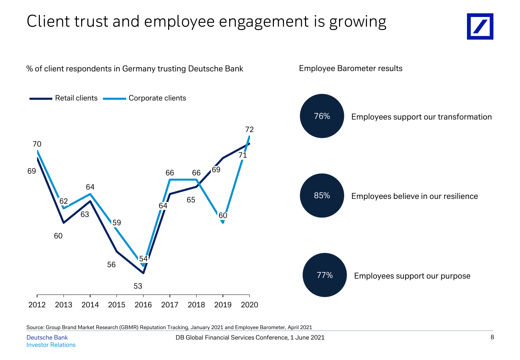# Client trust and employee engagement is growing





Employee Barometer results

Source: Group Brand Market Research (GBMR) Reputation Tracking, January 2021 and Employee Barometer, April 2021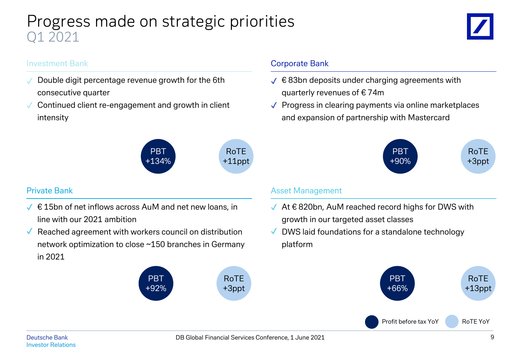#### Progress made on strategic priorities Q1 2021



#### Investment Bank

- Double digit percentage revenue growth for the 6th consecutive quarter  $\checkmark$
- Continued client re-engagement and growth in client intensity  $\checkmark$



- $\sqrt{\epsilon}$  15bn of net inflows across AuM and net new loans, in line with our 2021 ambition
- $\sqrt{\phantom{a}}$  Reached agreement with workers council on distribution network optimization to close ~150 branches in Germany in 2021

PBT +92%

#### Corporate Bank

- $\checkmark$   $\in$  83bn deposits under charging agreements with quarterly revenues of € 74m
- ✔ Progress in clearing payments via online marketplaces and expansion of partnership with Mastercard



#### Private Bank **Asset Management** Asset Management

- $\sqrt{ }$  At  $\in$  820bn, AuM reached record highs for DWS with growth in our targeted asset classes
- DWS laid foundations for a standalone technology platform  $\sqrt{2}$



RoTE +3ppt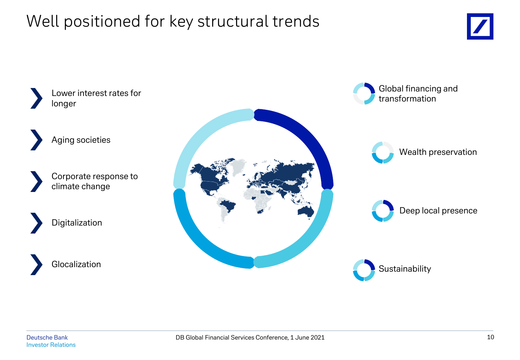## Well positioned for key structural trends



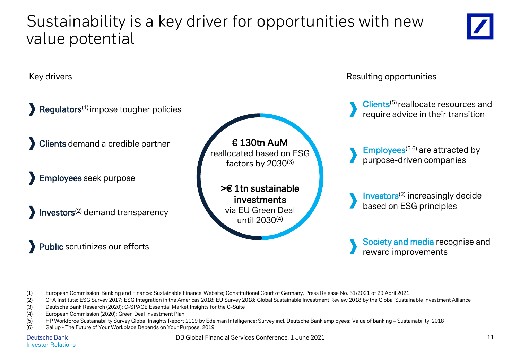#### Sustainability is a key driver for opportunities with new value potential



Key drivers resulting opportunities  $Regulators<sup>(1)</sup> impose to  
ugher policies$ Clients demand a credible partner Employees seek purpose Investors(2) demand transparency Public scrutinizes our efforts Clients<sup>(5)</sup> reallocate resources and require advice in their transition Society and media recognise and  $Emplovees<sup>(5,6)</sup>$  are attracted by purpose-driven companies Investors(2) increasingly decide based on ESG principles >€ 1tn sustainable investments via EU Green Deal until 2030(4) € 130tn AuM reallocated based on ESG factors by 2030(3)

(1) European Commission 'Banking and Finance: Sustainable Finance' Website; Constitutional Court of Germany, Press Release No. 31/2021 of 29 April 2021

- (2) CFA Institute: ESG Survey 2017; ESG Integration in the Americas 2018; EU Survey 2018; Global Sustainable Investment Review 2018 by the Global Sustainable Investment Alliance
- (3) Deutsche Bank Research (2020): C-SPACE Essential Market Insights for the C-Suite
- (4) European Commission (2020): Green Deal Investment Plan
- (5) HP Workforce Sustainability Survey Global Insights Report 2019 by Edelman Intelligence; Survey incl. Deutsche Bank employees: Value of banking Sustainability, 2018
- (6) Gallup The Future of Your Workplace Depends on Your Purpose, 2019

Deutsche Bank Investor Relations DB Global Financial Services Conference, 1 June 2021

reward improvements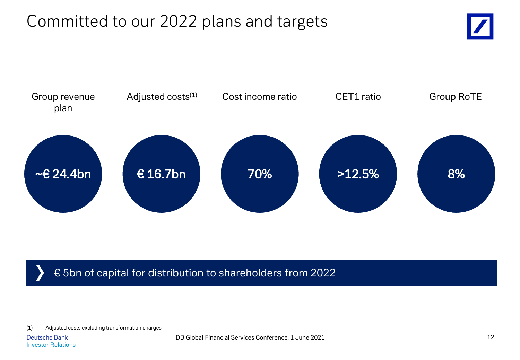# Committed to our 2022 plans and targets





#### € 5bn of capital for distribution to shareholders from 2022

(1) Adjusted costs excluding transformation charges

Deutsche Bank Investor Relations DB Global Financial Services Conference, 1 June 2021 12